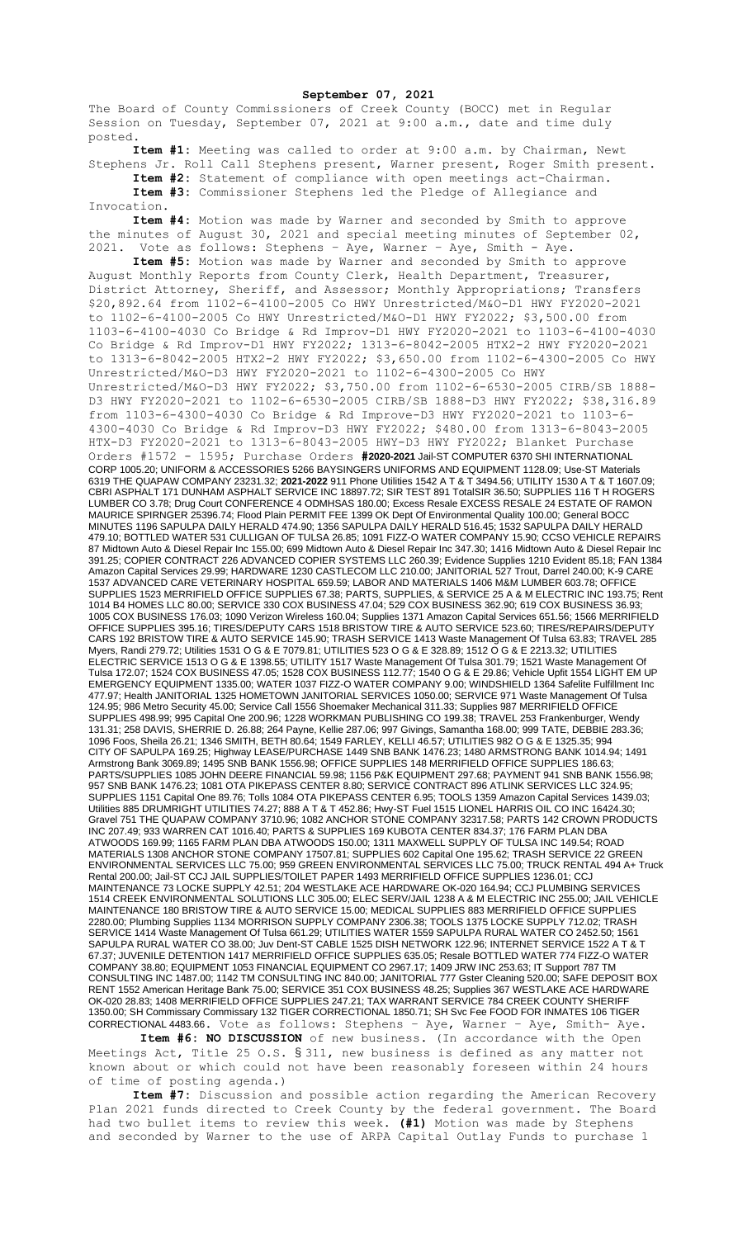**September 07, 2021**

The Board of County Commissioners of Creek County (BOCC) met in Regular Session on Tuesday, September 07, 2021 at 9:00 a.m., date and time duly posted.

**Item #1:** Meeting was called to order at 9:00 a.m. by Chairman, Newt Stephens Jr. Roll Call Stephens present, Warner present, Roger Smith present.

**Item #2:** Statement of compliance with open meetings act-Chairman. **Item #3:** Commissioner Stephens led the Pledge of Allegiance and Invocation.

**Item #4:** Motion was made by Warner and seconded by Smith to approve the minutes of August 30, 2021 and special meeting minutes of September 02, 2021. Vote as follows: Stephens – Aye, Warner – Aye, Smith - Aye.

**Item #5:** Motion was made by Warner and seconded by Smith to approve August Monthly Reports from County Clerk, Health Department, Treasurer, District Attorney, Sheriff, and Assessor; Monthly Appropriations; Transfers \$20,892.64 from 1102-6-4100-2005 Co HWY Unrestricted/M&O-D1 HWY FY2020-2021 to 1102-6-4100-2005 Co HWY Unrestricted/M&O-D1 HWY FY2022; \$3,500.00 from 1103-6-4100-4030 Co Bridge & Rd Improv-D1 HWY FY2020-2021 to 1103-6-4100-4030 Co Bridge & Rd Improv-D1 HWY FY2022; 1313-6-8042-2005 HTX2-2 HWY FY2020-2021 to 1313-6-8042-2005 HTX2-2 HWY FY2022; \$3,650.00 from 1102-6-4300-2005 Co HWY Unrestricted/M&O-D3 HWY FY2020-2021 to 1102-6-4300-2005 Co HWY Unrestricted/M&O-D3 HWY FY2022; \$3,750.00 from 1102-6-6530-2005 CIRB/SB 1888- D3 HWY FY2020-2021 to 1102-6-6530-2005 CIRB/SB 1888-D3 HWY FY2022; \$38,316.89 from 1103-6-4300-4030 Co Bridge & Rd Improve-D3 HWY FY2020-2021 to 1103-6- 4300-4030 Co Bridge & Rd Improv-D3 HWY FY2022; \$480.00 from 1313-6-8043-2005 HTX-D3 FY2020-2021 to 1313-6-8043-2005 HWY-D3 HWY FY2022; Blanket Purchase Orders #1572 - 1595; Purchase Orders **#2020-2021** Jail-ST COMPUTER 6370 SHI INTERNATIONAL CORP 1005.20; UNIFORM & ACCESSORIES 5266 BAYSINGERS UNIFORMS AND EQUIPMENT 1128.09; Use-ST Materials 6319 THE QUAPAW COMPANY 23231.32; **2021-2022** 911 Phone Utilities 1542 A T & T 3494.56; UTILITY 1530 A T & T 1607.09; CBRI ASPHALT 171 DUNHAM ASPHALT SERVICE INC 18897.72; SIR TEST 891 TotalSIR 36.50; SUPPLIES 116 T H ROGERS LUMBER CO 3.78; Drug Court CONFERENCE 4 ODMHSAS 180.00; Excess Resale EXCESS RESALE 24 ESTATE OF RAMON MAURICE SPIRNGER 25396.74; Flood Plain PERMIT FEE 1399 OK Dept Of Environmental Quality 100.00; General BOCC MINUTES 1196 SAPULPA DAILY HERALD 474.90; 1356 SAPULPA DAILY HERALD 516.45; 1532 SAPULPA DAILY HERALD 479.10; BOTTLED WATER 531 CULLIGAN OF TULSA 26.85; 1091 FIZZ-O WATER COMPANY 15.90; CCSO VEHICLE REPAIRS 87 Midtown Auto & Diesel Repair Inc 155.00; 699 Midtown Auto & Diesel Repair Inc 347.30; 1416 Midtown Auto & Diesel Repair Inc 391.25; COPIER CONTRACT 226 ADVANCED COPIER SYSTEMS LLC 260.39; Evidence Supplies 1210 Evident 85.18; FAN 1384 Amazon Capital Services 29.99; HARDWARE 1230 CASTLECOM LLC 210.00; JANITORIAL 527 Trout, Darrel 240.00; K-9 CARE 1537 ADVANCED CARE VETERINARY HOSPITAL 659.59; LABOR AND MATERIALS 1406 M&M LUMBER 603.78; OFFICE SUPPLIES 1523 MERRIFIELD OFFICE SUPPLIES 67.38; PARTS, SUPPLIES, & SERVICE 25 A & M ELECTRIC INC 193.75; Rent 1014 B4 HOMES LLC 80.00; SERVICE 330 COX BUSINESS 47.04; 529 COX BUSINESS 362.90; 619 COX BUSINESS 36.93; 1005 COX BUSINESS 176.03; 1090 Verizon Wireless 160.04; Supplies 1371 Amazon Capital Services 651.56; 1566 MERRIFIELD OFFICE SUPPLIES 395.16; TIRES/DEPUTY CARS 1518 BRISTOW TIRE & AUTO SERVICE 523.60; TIRES/REPAIRS/DEPUTY CARS 192 BRISTOW TIRE & AUTO SERVICE 145.90; TRASH SERVICE 1413 Waste Management Of Tulsa 63.83; TRAVEL 285 Myers, Randi 279.72; Utilities 1531 O G & E 7079.81; UTILITIES 523 O G & E 328.89; 1512 O G & E 2213.32; UTILITIES ELECTRIC SERVICE 1513 O G & E 1398.55; UTILITY 1517 Waste Management Of Tulsa 301.79; 1521 Waste Management Of Tulsa 172.07; 1524 COX BUSINESS 47.05; 1528 COX BUSINESS 112.77; 1540 O G & E 29.86; Vehicle Upfit 1554 LIGHT EM UP EMERGENCY EQUIPMENT 1335.00; WATER 1037 FIZZ-O WATER COMPANY 9.00; WINDSHIELD 1364 Safelite Fulfillment Inc 477.97; Health JANITORIAL 1325 HOMETOWN JANITORIAL SERVICES 1050.00; SERVICE 971 Waste Management Of Tulsa 124.95; 986 Metro Security 45.00; Service Call 1556 Shoemaker Mechanical 311.33; Supplies 987 MERRIFIELD OFFICE SUPPLIES 498.99; 995 Capital One 200.96; 1228 WORKMAN PUBLISHING CO 199.38; TRAVEL 253 Frankenburger, Wendy 131.31; 258 DAVIS, SHERRIE D. 26.88; 264 Payne, Kellie 287.06; 997 Givings, Samantha 168.00; 999 TATE, DEBBIE 283.36; 1096 Foos, Sheila 26.21; 1346 SMITH, BETH 80.64; 1549 FARLEY, KELLI 46.57; UTILITIES 982 O G & E 1325.35; 994 CITY OF SAPULPA 169.25; Highway LEASE/PURCHASE 1449 SNB BANK 1476.23; 1480 ARMSTRONG BANK 1014.94; 1491 Armstrong Bank 3069.89; 1495 SNB BANK 1556.98; OFFICE SUPPLIES 148 MERRIFIELD OFFICE SUPPLIES 186.63; PARTS/SUPPLIES 1085 JOHN DEERE FINANCIAL 59.98; 1156 P&K EQUIPMENT 297.68; PAYMENT 941 SNB BANK 1556.98; 957 SNB BANK 1476.23; 1081 OTA PIKEPASS CENTER 8.80; SERVICE CONTRACT 896 ATLINK SERVICES LLC 324.95; SUPPLIES 1151 Capital One 89.76; Tolls 1084 OTA PIKEPASS CENTER 6.95; TOOLS 1359 Amazon Capital Services 1439.03; Utilities 885 DRUMRIGHT UTILITIES 74.27; 888 A T & T 452.86; Hwy-ST Fuel 1515 LIONEL HARRIS OIL CO INC 16424.30; Gravel 751 THE QUAPAW COMPANY 3710.96; 1082 ANCHOR STONE COMPANY 32317.58; PARTS 142 CROWN PRODUCTS INC 207.49; 933 WARREN CAT 1016.40; PARTS & SUPPLIES 169 KUBOTA CENTER 834.37; 176 FARM PLAN DBA ATWOODS 169.99; 1165 FARM PLAN DBA ATWOODS 150.00; 1311 MAXWELL SUPPLY OF TULSA INC 149.54; ROAD MATERIALS 1308 ANCHOR STONE COMPANY 17507.81; SUPPLIES 602 Capital One 195.62; TRASH SERVICE 22 GREEN ENVIRONMENTAL SERVICES LLC 75.00; 959 GREEN ENVIRONMENTAL SERVICES LLC 75.00; TRUCK RENTAL 494 A+ Truck Rental 200.00; Jail-ST CCJ JAIL SUPPLIES/TOILET PAPER 1493 MERRIFIELD OFFICE SUPPLIES 1236.01; CCJ MAINTENANCE 73 LOCKE SUPPLY 42.51; 204 WESTLAKE ACE HARDWARE OK-020 164.94; CCJ PLUMBING SERVICES 1514 CREEK ENVIRONMENTAL SOLUTIONS LLC 305.00; ELEC SERV/JAIL 1238 A & M ELECTRIC INC 255.00; JAIL VEHICLE MAINTENANCE 180 BRISTOW TIRE & AUTO SERVICE 15.00; MEDICAL SUPPLIES 883 MERRIFIELD OFFICE SUPPLIES 2280.00; Plumbing Supplies 1134 MORRISON SUPPLY COMPANY 2306.38; TOOLS 1375 LOCKE SUPPLY 712.02; TRASH SERVICE 1414 Waste Management Of Tulsa 661.29; UTILITIES WATER 1559 SAPULPA RURAL WATER CO 2452.50; 1561 SAPULPA RURAL WATER CO 38.00; Juv Dent-ST CABLE 1525 DISH NETWORK 122.96; INTERNET SERVICE 1522 A T & T 67.37; JUVENILE DETENTION 1417 MERRIFIELD OFFICE SUPPLIES 635.05; Resale BOTTLED WATER 774 FIZZ-O WATER COMPANY 38.80; EQUIPMENT 1053 FINANCIAL EQUIPMENT CO 2967.17; 1409 JRW INC 253.63; IT Support 787 TM CONSULTING INC 1487.00; 1142 TM CONSULTING INC 840.00; JANITORIAL 777 Gster Cleaning 520.00; SAFE DEPOSIT BOX RENT 1552 American Heritage Bank 75.00; SERVICE 351 COX BUSINESS 48.25; Supplies 367 WESTLAKE ACE HARDWARE OK-020 28.83; 1408 MERRIFIELD OFFICE SUPPLIES 247.21; TAX WARRANT SERVICE 784 CREEK COUNTY SHERIFF 1350.00; SH Commissary Commissary 132 TIGER CORRECTIONAL 1850.71; SH Svc Fee FOOD FOR INMATES 106 TIGER CORRECTIONAL 4483.66. Vote as follows: Stephens – Aye, Warner – Aye, Smith- Aye.

**Item #6: NO DISCUSSION** of new business. (In accordance with the Open Meetings Act, Title 25 O.S. § 311, new business is defined as any matter not known about or which could not have been reasonably foreseen within 24 hours of time of posting agenda.)

**Item #7:** Discussion and possible action regarding the American Recovery Plan 2021 funds directed to Creek County by the federal government. The Board had two bullet items to review this week. **(#1)** Motion was made by Stephens and seconded by Warner to the use of ARPA Capital Outlay Funds to purchase 1